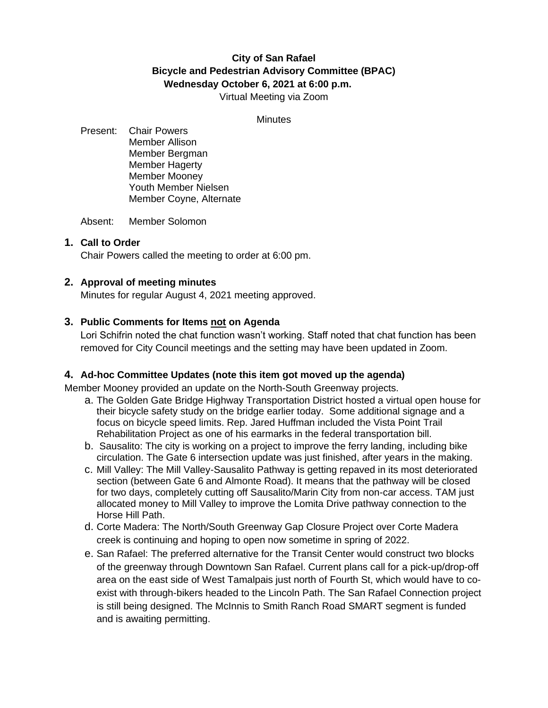# **City of San Rafael Bicycle and Pedestrian Advisory Committee (BPAC) Wednesday October 6, 2021 at 6:00 p.m.**

Virtual Meeting via Zoom

#### **Minutes**

Present: Chair Powers Member Allison Member Bergman Member Hagerty Member Mooney Youth Member Nielsen Member Coyne, Alternate

Absent: Member Solomon

# **1. Call to Order**

Chair Powers called the meeting to order at 6:00 pm.

# **2. Approval of meeting minutes**

Minutes for regular August 4, 2021 meeting approved.

# **3. Public Comments for Items not on Agenda**

Lori Schifrin noted the chat function wasn't working. Staff noted that chat function has been removed for City Council meetings and the setting may have been updated in Zoom.

### **4. Ad-hoc Committee Updates (note this item got moved up the agenda)**

Member Mooney provided an update on the North-South Greenway projects.

- a. The Golden Gate Bridge Highway Transportation District hosted a virtual open house for their bicycle safety study on the bridge earlier today. Some additional signage and a focus on bicycle speed limits. Rep. Jared Huffman included the Vista Point Trail Rehabilitation Project as one of his earmarks in the federal transportation bill.
- b. Sausalito: The city is working on a project to improve the ferry landing, including bike circulation. The Gate 6 intersection update was just finished, after years in the making.
- c. Mill Valley: The Mill Valley-Sausalito Pathway is getting repaved in its most deteriorated section (between Gate 6 and Almonte Road). It means that the pathway will be closed for two days, completely cutting off Sausalito/Marin City from non-car access. TAM just allocated money to Mill Valley to improve the Lomita Drive pathway connection to the Horse Hill Path.
- d. Corte Madera: The North/South Greenway Gap Closure Project over Corte Madera creek is continuing and hoping to open now sometime in spring of 2022.
- e. San Rafael: The preferred alternative for the Transit Center would construct two blocks of the greenway through Downtown San Rafael. Current plans call for a pick-up/drop-off area on the east side of West Tamalpais just north of Fourth St, which would have to coexist with through-bikers headed to the Lincoln Path. The San Rafael Connection project is still being designed. The McInnis to Smith Ranch Road SMART segment is funded and is awaiting permitting.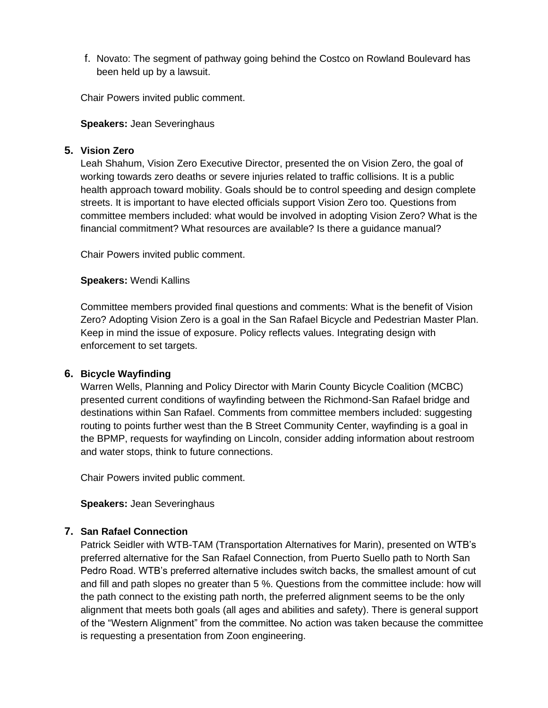f. Novato: The segment of pathway going behind the Costco on Rowland Boulevard has been held up by a lawsuit.

Chair Powers invited public comment.

#### **Speakers:** Jean Severinghaus

## **5. Vision Zero**

Leah Shahum, Vision Zero Executive Director, presented the on Vision Zero, the goal of working towards zero deaths or severe injuries related to traffic collisions. It is a public health approach toward mobility. Goals should be to control speeding and design complete streets. It is important to have elected officials support Vision Zero too. Questions from committee members included: what would be involved in adopting Vision Zero? What is the financial commitment? What resources are available? Is there a guidance manual?

Chair Powers invited public comment.

#### **Speakers:** Wendi Kallins

Committee members provided final questions and comments: What is the benefit of Vision Zero? Adopting Vision Zero is a goal in the San Rafael Bicycle and Pedestrian Master Plan. Keep in mind the issue of exposure. Policy reflects values. Integrating design with enforcement to set targets.

### **6. Bicycle Wayfinding**

Warren Wells, Planning and Policy Director with Marin County Bicycle Coalition (MCBC) presented current conditions of wayfinding between the Richmond-San Rafael bridge and destinations within San Rafael. Comments from committee members included: suggesting routing to points further west than the B Street Community Center, wayfinding is a goal in the BPMP, requests for wayfinding on Lincoln, consider adding information about restroom and water stops, think to future connections.

Chair Powers invited public comment.

**Speakers:** Jean Severinghaus

# **7. San Rafael Connection**

Patrick Seidler with WTB-TAM (Transportation Alternatives for Marin), presented on WTB's preferred alternative for the San Rafael Connection, from Puerto Suello path to North San Pedro Road. WTB's preferred alternative includes switch backs, the smallest amount of cut and fill and path slopes no greater than 5 %. Questions from the committee include: how will the path connect to the existing path north, the preferred alignment seems to be the only alignment that meets both goals (all ages and abilities and safety). There is general support of the "Western Alignment" from the committee. No action was taken because the committee is requesting a presentation from Zoon engineering.